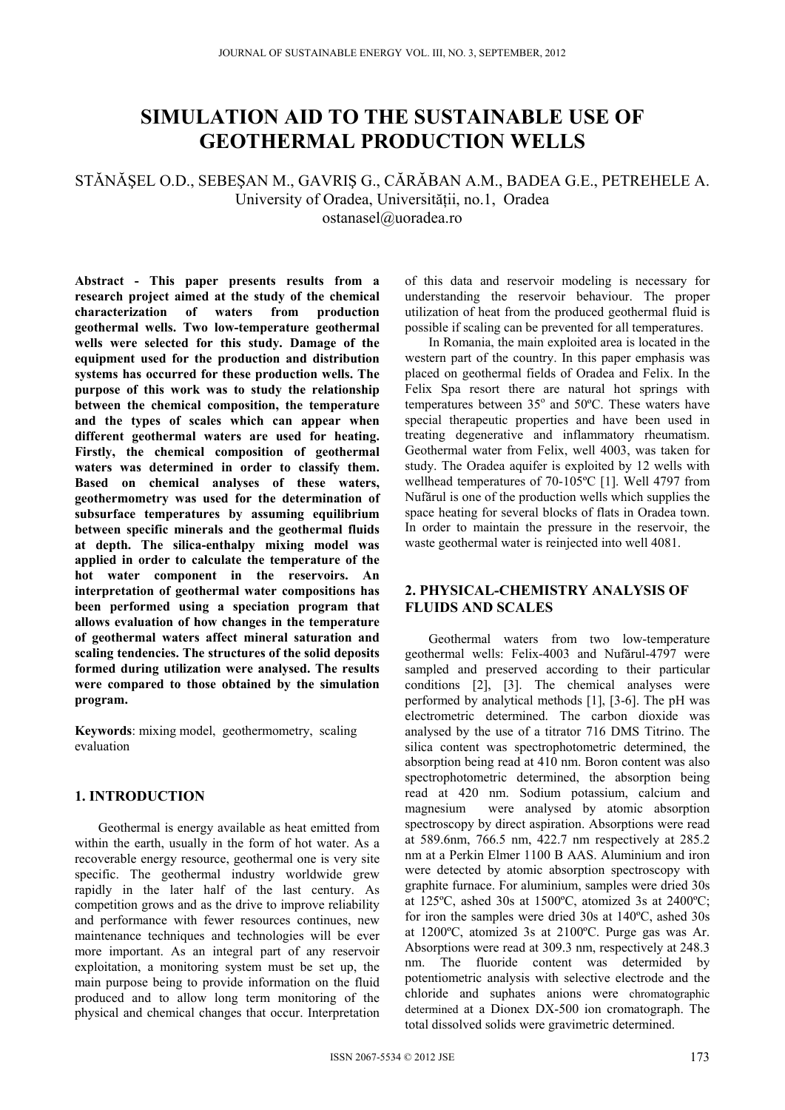# **SIMULATION AID TO THE SUSTAINABLE USE OF GEOTHERMAL PRODUCTION WELLS**

## STĂNĂŞEL O.D., SEBEŞAN M., GAVRIŞ G., CĂRĂBAN A.M., BADEA G.E., PETREHELE A. University of Oradea, Universității, no.1, Oradea ostanasel@uoradea.ro

**Abstract - This paper presents results from a research project aimed at the study of the chemical characterization of waters from production geothermal wells. Two low-temperature geothermal wells were selected for this study. Damage of the equipment used for the production and distribution systems has occurred for these production wells. The purpose of this work was to study the relationship between the chemical composition, the temperature and the types of scales which can appear when different geothermal waters are used for heating. Firstly, the chemical composition of geothermal waters was determined in order to classify them. Based on chemical analyses of these waters, geothermometry was used for the determination of subsurface temperatures by assuming equilibrium between specific minerals and the geothermal fluids at depth. The silica-enthalpy mixing model was applied in order to calculate the temperature of the hot water component in the reservoirs. An interpretation of geothermal water compositions has been performed using a speciation program that allows evaluation of how changes in the temperature of geothermal waters affect mineral saturation and scaling tendencies. The structures of the solid deposits formed during utilization were analysed. The results were compared to those obtained by the simulation program.**

**Keywords**: mixing model, geothermometry, scaling evaluation

### **1. INTRODUCTION**

Geothermal is energy available as heat emitted from within the earth, usually in the form of hot water. As a recoverable energy resource, geothermal one is very site specific. The geothermal industry worldwide grew rapidly in the later half of the last century. As competition grows and as the drive to improve reliability and performance with fewer resources continues, new maintenance techniques and technologies will be ever more important. As an integral part of any reservoir exploitation, a monitoring system must be set up, the main purpose being to provide information on the fluid produced and to allow long term monitoring of the physical and chemical changes that occur. Interpretation of this data and reservoir modeling is necessary for understanding the reservoir behaviour. The proper utilization of heat from the produced geothermal fluid is possible if scaling can be prevented for all temperatures.

In Romania, the main exploited area is located in the western part of the country. In this paper emphasis was placed on geothermal fields of Oradea and Felix. In the Felix Spa resort there are natural hot springs with temperatures between 35° and 50°C. These waters have special therapeutic properties and have been used in treating degenerative and inflammatory rheumatism. Geothermal water from Felix, well 4003, was taken for study. The Oradea aquifer is exploited by 12 wells with wellhead temperatures of 70-105ºC [1]. Well 4797 from Nufărul is one of the production wells which supplies the space heating for several blocks of flats in Oradea town. In order to maintain the pressure in the reservoir, the waste geothermal water is reinjected into well 4081.

## **2. PHYSICAL-CHEMISTRY ANALYSIS OF FLUIDS AND SCALES**

Geothermal waters from two low-temperature geothermal wells: Felix-4003 and Nufărul-4797 were sampled and preserved according to their particular conditions [2], [3]. The chemical analyses were performed by analytical methods [1], [3-6]. The pH was electrometric determined. The carbon dioxide was analysed by the use of a titrator 716 DMS Titrino. The silica content was spectrophotometric determined, the absorption being read at 410 nm. Boron content was also spectrophotometric determined, the absorption being read at 420 nm. Sodium potassium, calcium and magnesium were analysed by atomic absorption spectroscopy by direct aspiration. Absorptions were read at 589.6nm, 766.5 nm, 422.7 nm respectively at 285.2 nm at a Perkin Elmer 1100 B AAS. Aluminium and iron were detected by atomic absorption spectroscopy with graphite furnace. For aluminium, samples were dried 30s at 125ºC, ashed 30s at 1500ºC, atomized 3s at 2400ºC; for iron the samples were dried 30s at 140ºC, ashed 30s at 1200ºC, atomized 3s at 2100ºC. Purge gas was Ar. Absorptions were read at 309.3 nm, respectively at 248.3 nm. The fluoride content was determided by potentiometric analysis with selective electrode and the chloride and suphates anions were chromatographic determined at a Dionex DX-500 ion cromatograph. The total dissolved solids were gravimetric determined.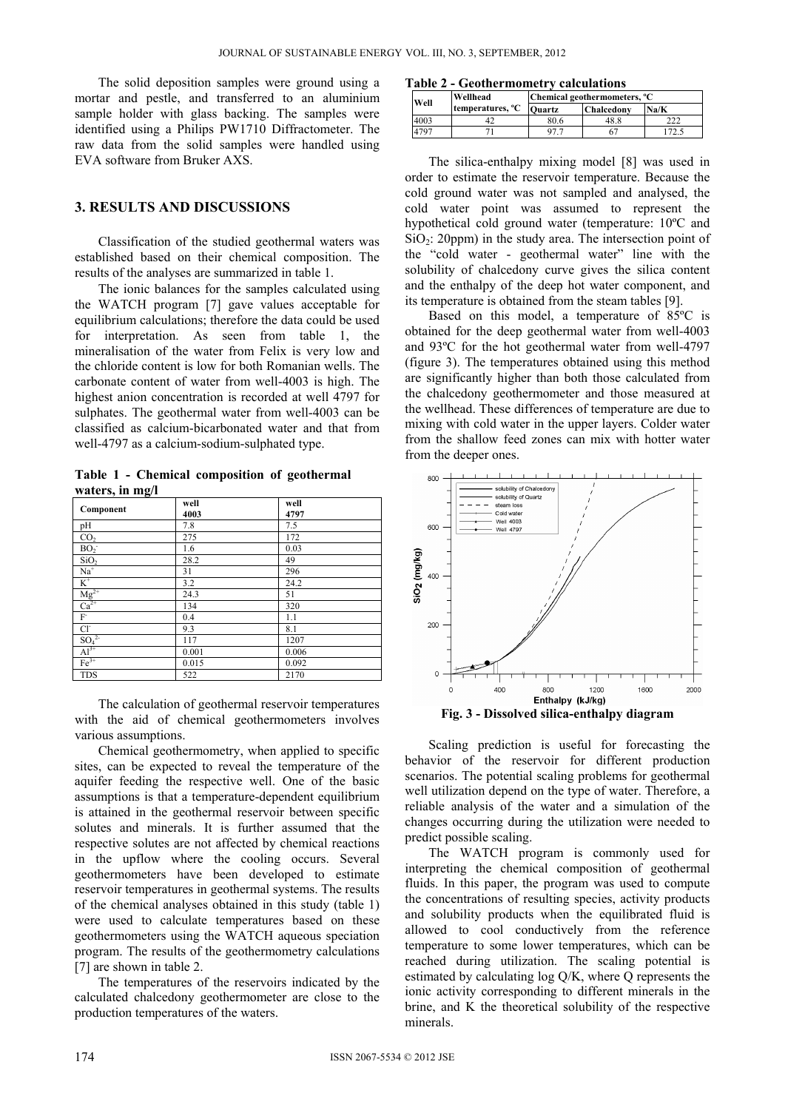The solid deposition samples were ground using a mortar and pestle, and transferred to an aluminium sample holder with glass backing. The samples were identified using a Philips PW1710 Diffractometer. The raw data from the solid samples were handled using EVA software from Bruker AXS.

#### **3. RESULTS AND DISCUSSIONS**

Classification of the studied geothermal waters was established based on their chemical composition. The results of the analyses are summarized in table 1.

The ionic balances for the samples calculated using the WATCH program [7] gave values acceptable for equilibrium calculations; therefore the data could be used for interpretation. As seen from table 1, the mineralisation of the water from Felix is very low and the chloride content is low for both Romanian wells. The carbonate content of water from well-4003 is high. The highest anion concentration is recorded at well 4797 for sulphates. The geothermal water from well-4003 can be classified as calcium-bicarbonated water and that from well-4797 as a calcium-sodium-sulphated type.

**Table 1 - Chemical composition of geothermal waters, in mg/l**

| Component                                 | well<br>4003 | well<br>4797 |
|-------------------------------------------|--------------|--------------|
| pH                                        | 7.8          | 7.5          |
| CO <sub>2</sub>                           | 275          | 172          |
| BO <sub>2</sub>                           | 1.6          | 0.03         |
| SiO <sub>2</sub>                          | 28.2         | 49           |
| $Na+$                                     | 31           | 296          |
| $\overline{\rm K}^{\scriptscriptstyle +}$ | 3.2          | 24.2         |
| $\frac{\text{Mg}^{2+}}{\text{Ca}^{2+}}$   | 24.3         | 51           |
|                                           | 134          | 320          |
| $F^{\cdot}$                               | 0.4          | 1.1          |
| $Cl^{\sim}$                               | 9.3          | 8.1          |
| SO <sub>4</sub> <sup>2</sup>              | 117          | 1207         |
| $Al^{3+}$                                 | 0.001        | 0.006        |
| $Fe3+$                                    | 0.015        | 0.092        |
| <b>TDS</b>                                | 522          | 2170         |

The calculation of geothermal reservoir temperatures with the aid of chemical geothermometers involves various assumptions.

Chemical geothermometry, when applied to specific sites, can be expected to reveal the temperature of the aquifer feeding the respective well. One of the basic assumptions is that a temperature-dependent equilibrium is attained in the geothermal reservoir between specific solutes and minerals. It is further assumed that the respective solutes are not affected by chemical reactions in the upflow where the cooling occurs. Several geothermometers have been developed to estimate reservoir temperatures in geothermal systems. The results of the chemical analyses obtained in this study (table 1) were used to calculate temperatures based on these geothermometers using the WATCH aqueous speciation program. The results of the geothermometry calculations [7] are shown in table 2.

The temperatures of the reservoirs indicated by the calculated chalcedony geothermometer are close to the production temperatures of the waters.

**Table 2 - Geothermometry calculations** 

| Well | Wellhead                     | Chemical geothermometers, °C |                   |      |
|------|------------------------------|------------------------------|-------------------|------|
|      | temperatures, <sup>o</sup> C | <b>Ouartz</b>                | <b>Chalcedony</b> | Na/K |
| 4003 |                              | 80.6                         | 48.8              |      |
| 4797 |                              |                              |                   |      |

The silica-enthalpy mixing model [8] was used in order to estimate the reservoir temperature. Because the cold ground water was not sampled and analysed, the cold water point was assumed to represent the hypothetical cold ground water (temperature: 10ºC and  $SiO<sub>2</sub>$ : 20ppm) in the study area. The intersection point of the "cold water - geothermal water" line with the solubility of chalcedony curve gives the silica content and the enthalpy of the deep hot water component, and its temperature is obtained from the steam tables [9].

Based on this model, a temperature of 85ºC is obtained for the deep geothermal water from well-4003 and 93ºC for the hot geothermal water from well-4797 (figure 3). The temperatures obtained using this method are significantly higher than both those calculated from the chalcedony geothermometer and those measured at the wellhead. These differences of temperature are due to mixing with cold water in the upper layers. Colder water from the shallow feed zones can mix with hotter water from the deeper ones.



Scaling prediction is useful for forecasting the behavior of the reservoir for different production scenarios. The potential scaling problems for geothermal well utilization depend on the type of water. Therefore, a reliable analysis of the water and a simulation of the changes occurring during the utilization were needed to predict possible scaling.

The WATCH program is commonly used for interpreting the chemical composition of geothermal fluids. In this paper, the program was used to compute the concentrations of resulting species, activity products and solubility products when the equilibrated fluid is allowed to cool conductively from the reference temperature to some lower temperatures, which can be reached during utilization. The scaling potential is estimated by calculating log Q/K, where Q represents the ionic activity corresponding to different minerals in the brine, and K the theoretical solubility of the respective minerals.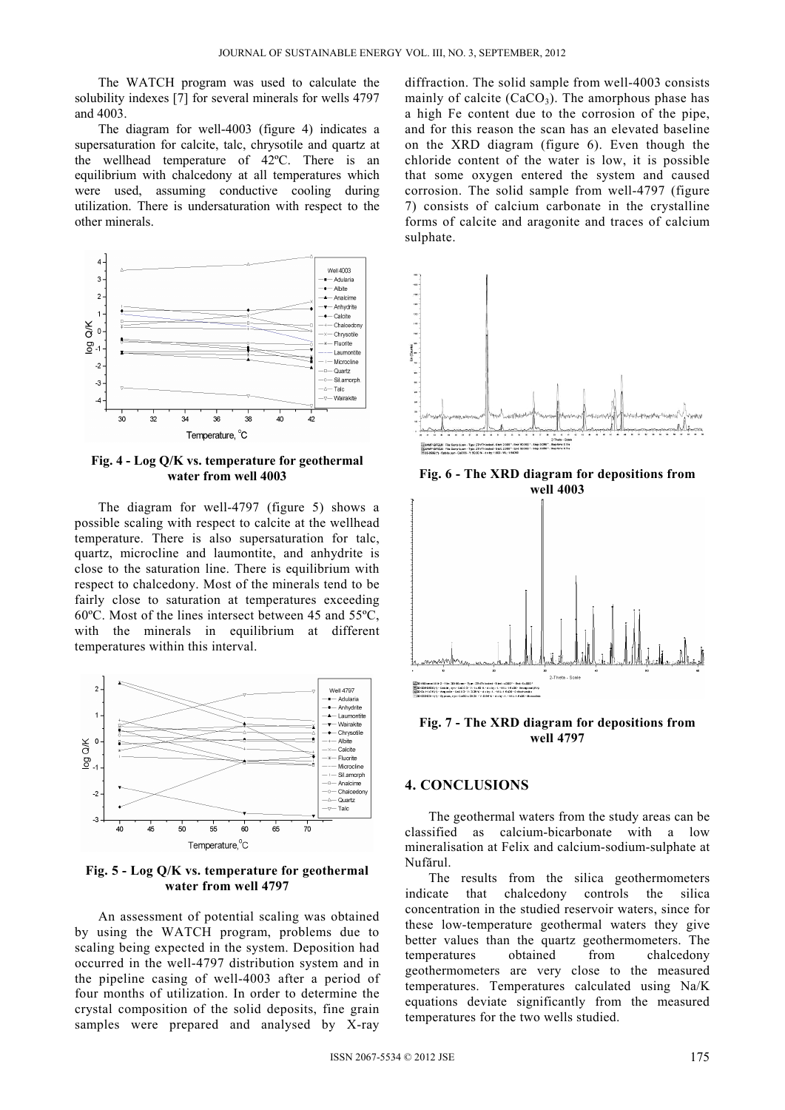The WATCH program was used to calculate the solubility indexes [7] for several minerals for wells 4797 and 4003.

The diagram for well-4003 (figure 4) indicates a supersaturation for calcite, talc, chrysotile and quartz at the wellhead temperature of 42ºC. There is an equilibrium with chalcedony at all temperatures which were used, assuming conductive cooling during utilization. There is undersaturation with respect to the other minerals.



**Fig. 4 - Log Q/K vs. temperature for geothermal water from well 4003** 

The diagram for well-4797 (figure 5) shows a possible scaling with respect to calcite at the wellhead temperature. There is also supersaturation for talc, quartz, microcline and laumontite, and anhydrite is close to the saturation line. There is equilibrium with respect to chalcedony. Most of the minerals tend to be fairly close to saturation at temperatures exceeding 60ºC. Most of the lines intersect between 45 and 55ºC, with the minerals in equilibrium at different temperatures within this interval.



**Fig. 5 - Log Q/K vs. temperature for geothermal water from well 4797**

An assessment of potential scaling was obtained by using the WATCH program, problems due to scaling being expected in the system. Deposition had occurred in the well-4797 distribution system and in the pipeline casing of well-4003 after a period of four months of utilization. In order to determine the crystal composition of the solid deposits, fine grain samples were prepared and analysed by X-ray

diffraction. The solid sample from well-4003 consists mainly of calcite  $(CaCO<sub>3</sub>)$ . The amorphous phase has a high Fe content due to the corrosion of the pipe, and for this reason the scan has an elevated baseline on the XRD diagram (figure 6). Even though the chloride content of the water is low, it is possible that some oxygen entered the system and caused corrosion. The solid sample from well-4797 (figure 7) consists of calcium carbonate in the crystalline forms of calcite and aragonite and traces of calcium sulphate.



**Fig. 6 - The XRD diagram for depositions from well 4003**



**Fig. 7 - The XRD diagram for depositions from well 4797**

#### **4. CONCLUSIONS**

The geothermal waters from the study areas can be classified as calcium-bicarbonate with a low mineralisation at Felix and calcium-sodium-sulphate at Nufărul.

The results from the silica geothermometers indicate that chalcedony controls the silica concentration in the studied reservoir waters, since for these low-temperature geothermal waters they give better values than the quartz geothermometers. The temperatures obtained from chalcedony geothermometers are very close to the measured temperatures. Temperatures calculated using Na/K equations deviate significantly from the measured temperatures for the two wells studied.